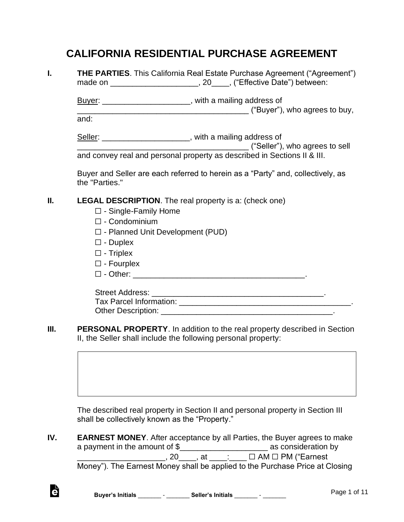# **CALIFORNIA RESIDENTIAL PURCHASE AGREEMENT**

|    | THE PARTIES. This California Real Estate Purchase Agreement ("Agreement")<br>made on ________________________________, 20______, ("Effective Date") between: |  |
|----|--------------------------------------------------------------------------------------------------------------------------------------------------------------|--|
|    | Buyer: _______________________, with a mailing address of                                                                                                    |  |
|    | and:                                                                                                                                                         |  |
|    | Seller: ________________________, with a mailing address of                                                                                                  |  |
|    | and convey real and personal property as described in Sections II & III.                                                                                     |  |
|    | Buyer and Seller are each referred to herein as a "Party" and, collectively, as<br>the "Parties."                                                            |  |
| Ш. | <b>LEGAL DESCRIPTION</b> . The real property is a: (check one)                                                                                               |  |
|    | $\Box$ - Single-Family Home                                                                                                                                  |  |
|    | $\Box$ - Condominium                                                                                                                                         |  |
|    | $\square$ - Planned Unit Development (PUD)                                                                                                                   |  |
|    | $\square$ - Duplex                                                                                                                                           |  |
|    | $\square$ - Triplex                                                                                                                                          |  |
|    | $\square$ - Fourplex                                                                                                                                         |  |
|    |                                                                                                                                                              |  |
|    |                                                                                                                                                              |  |
|    |                                                                                                                                                              |  |
|    |                                                                                                                                                              |  |
| Ш. | <b>PERSONAL PROPERTY.</b> In addition to the real property described in Section<br>II, the Seller shall include the following personal property:             |  |

The described real property in Section II and personal property in Section III shall be collectively known as the "Property."

**IV. EARNEST MONEY**. After acceptance by all Parties, the Buyer agrees to make a payment in the amount of \$\_\_\_\_\_\_\_\_\_\_\_\_\_\_\_\_\_\_\_\_ as consideration by  $\Box$ , 20  $\Box$ , at  $\Box$ :  $\Box$   $\Box$  AM  $\Box$  PM ("Earnest Money"). The Earnest Money shall be applied to the Purchase Price at Closing

è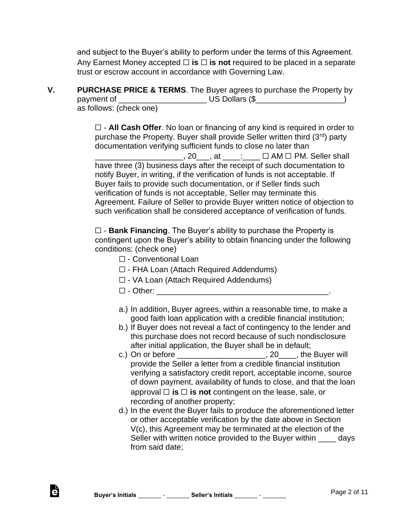and subject to the Buyer's ability to perform under the terms of this Agreement. Any Earnest Money accepted ☐ **is** ☐ **is not** required to be placed in a separate trust or escrow account in accordance with Governing Law.

**V. PURCHASE PRICE & TERMS**. The Buyer agrees to purchase the Property by payment of \_\_\_\_\_\_\_\_\_\_\_\_\_\_\_\_\_\_\_\_ US Dollars (\$\_\_\_\_\_\_\_\_\_\_\_\_\_\_\_\_\_\_\_\_) as follows: (check one)

> ☐ - **All Cash Offer**. No loan or financing of any kind is required in order to purchase the Property. Buyer shall provide Seller written third  $(3<sup>rd</sup>)$  party documentation verifying sufficient funds to close no later than \_\_\_\_\_\_\_\_\_\_\_\_\_\_\_\_\_\_\_\_, 20\_\_\_, at \_\_\_\_:\_\_\_\_ ☐ AM ☐ PM. Seller shall have three (3) business days after the receipt of such documentation to notify Buyer, in writing, if the verification of funds is not acceptable. If Buyer fails to provide such documentation, or if Seller finds such verification of funds is not acceptable, Seller may terminate this Agreement. Failure of Seller to provide Buyer written notice of objection to such verification shall be considered acceptance of verification of funds.

☐ - **Bank Financing**. The Buyer's ability to purchase the Property is contingent upon the Buyer's ability to obtain financing under the following conditions: (check one)

- ☐ Conventional Loan
- ☐ FHA Loan (Attach Required Addendums)
- ☐ VA Loan (Attach Required Addendums)
- ☐ Other: \_\_\_\_\_\_\_\_\_\_\_\_\_\_\_\_\_\_\_\_\_\_\_\_\_\_\_\_\_\_\_\_\_\_\_\_\_\_\_.
- a.) In addition, Buyer agrees, within a reasonable time, to make a good faith loan application with a credible financial institution;
- b.) If Buyer does not reveal a fact of contingency to the lender and this purchase does not record because of such nondisclosure after initial application, the Buyer shall be in default;
- c.) On or before \_\_\_\_\_\_\_\_\_\_\_\_\_\_\_\_\_\_\_\_, 20\_\_\_\_, the Buyer will provide the Seller a letter from a credible financial institution verifying a satisfactory credit report, acceptable income, source of down payment, availability of funds to close, and that the loan approval  $\Box$  **is**  $\Box$  **is not** contingent on the lease, sale, or recording of another property;
- d.) In the event the Buyer fails to produce the aforementioned letter or other acceptable verification by the date above in Section V(c), this Agreement may be terminated at the election of the Seller with written notice provided to the Buyer within \_\_\_\_ days from said date;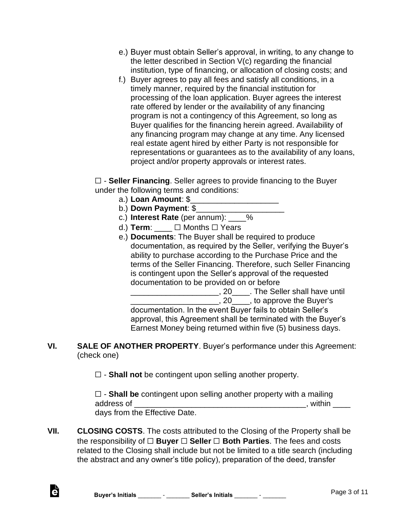- e.) Buyer must obtain Seller's approval, in writing, to any change to the letter described in Section V(c) regarding the financial institution, type of financing, or allocation of closing costs; and
- f.) Buyer agrees to pay all fees and satisfy all conditions, in a timely manner, required by the financial institution for processing of the loan application. Buyer agrees the interest rate offered by lender or the availability of any financing program is not a contingency of this Agreement, so long as Buyer qualifies for the financing herein agreed. Availability of any financing program may change at any time. Any licensed real estate agent hired by either Party is not responsible for representations or guarantees as to the availability of any loans, project and/or property approvals or interest rates.

☐ - **Seller Financing**. Seller agrees to provide financing to the Buyer under the following terms and conditions:

- a.) **Loan Amount**: \$\_\_\_\_\_\_\_\_\_\_\_\_\_\_\_\_\_\_\_\_
- b.) **Down Payment**: \$\_\_\_\_\_\_\_\_\_\_\_\_\_\_\_\_\_\_\_\_
- c.) **Interest Rate** (per annum): \_\_\_\_%
- d.) **Term**:  $□$  Months □ Years
- e.) **Documents**: The Buyer shall be required to produce documentation, as required by the Seller, verifying the Buyer's ability to purchase according to the Purchase Price and the terms of the Seller Financing. Therefore, such Seller Financing is contingent upon the Seller's approval of the requested documentation to be provided on or before

\_\_\_\_\_\_\_\_\_\_\_\_\_\_\_\_\_\_\_\_\_\_\_\_\_\_, 20\_\_\_\_\_. The Seller shall have until

**\_\_\_\_\_\_\_\_\_\_\_\_\_\_\_\_\_\_\_\_\_\_\_\_**, 20\_\_\_\_\_, to approve the Buyer's documentation. In the event Buyer fails to obtain Seller's approval, this Agreement shall be terminated with the Buyer's Earnest Money being returned within five (5) business days.

**VI. SALE OF ANOTHER PROPERTY**. Buyer's performance under this Agreement: (check one)

☐ - **Shall not** be contingent upon selling another property.

☐ - **Shall be** contingent upon selling another property with a mailing address of \_\_\_\_\_\_\_\_\_\_\_\_\_\_\_\_\_\_\_\_\_\_\_\_\_\_\_\_\_\_\_\_\_\_\_\_\_\_\_, within \_\_\_\_ days from the Effective Date.

**VII. CLOSING COSTS**. The costs attributed to the Closing of the Property shall be the responsibility of ☐ **Buyer** ☐ **Seller** ☐ **Both Parties**. The fees and costs related to the Closing shall include but not be limited to a title search (including the abstract and any owner's title policy), preparation of the deed, transfer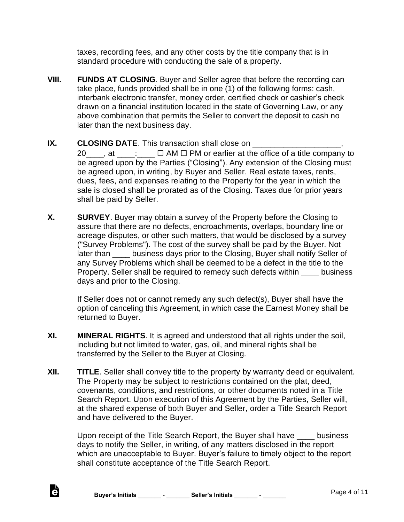taxes, recording fees, and any other costs by the title company that is in standard procedure with conducting the sale of a property.

**VIII. FUNDS AT CLOSING**. Buyer and Seller agree that before the recording can take place, funds provided shall be in one (1) of the following forms: cash, interbank electronic transfer, money order, certified check or cashier's check drawn on a financial institution located in the state of Governing Law, or any above combination that permits the Seller to convert the deposit to cash no later than the next business day.

#### **IX.** CLOSING DATE. This transaction shall close on \_\_\_\_\_\_\_\_\_ 20  $\ldots$ , at  $\ldots$   $\Box$  AM  $\Box$  PM or earlier at the office of a title company to be agreed upon by the Parties ("Closing"). Any extension of the Closing must be agreed upon, in writing, by Buyer and Seller. Real estate taxes, rents, dues, fees, and expenses relating to the Property for the year in which the sale is closed shall be prorated as of the Closing. Taxes due for prior years

shall be paid by Seller.

**X. SURVEY**. Buyer may obtain a survey of the Property before the Closing to assure that there are no defects, encroachments, overlaps, boundary line or acreage disputes, or other such matters, that would be disclosed by a survey ("Survey Problems"). The cost of the survey shall be paid by the Buyer. Not later than business days prior to the Closing, Buyer shall notify Seller of any Survey Problems which shall be deemed to be a defect in the title to the Property. Seller shall be required to remedy such defects within \_\_\_\_ business days and prior to the Closing.

If Seller does not or cannot remedy any such defect(s), Buyer shall have the option of canceling this Agreement, in which case the Earnest Money shall be returned to Buyer.

- **XI. MINERAL RIGHTS**. It is agreed and understood that all rights under the soil, including but not limited to water, gas, oil, and mineral rights shall be transferred by the Seller to the Buyer at Closing.
- **XII. TITLE**. Seller shall convey title to the property by warranty deed or equivalent. The Property may be subject to restrictions contained on the plat, deed, covenants, conditions, and restrictions, or other documents noted in a Title Search Report. Upon execution of this Agreement by the Parties, Seller will, at the shared expense of both Buyer and Seller, order a Title Search Report and have delivered to the Buyer.

Upon receipt of the Title Search Report, the Buyer shall have \_\_\_\_ business days to notify the Seller, in writing, of any matters disclosed in the report which are unacceptable to Buyer. Buyer's failure to timely object to the report shall constitute acceptance of the Title Search Report.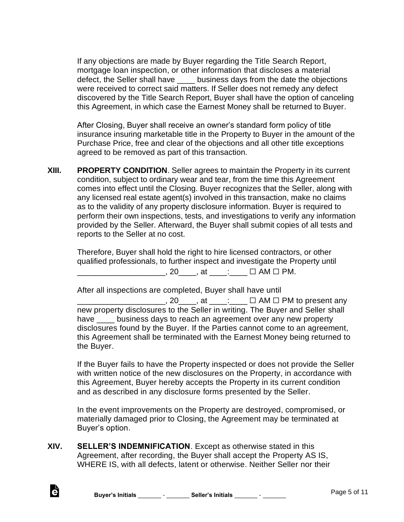If any objections are made by Buyer regarding the Title Search Report, mortgage loan inspection, or other information that discloses a material defect, the Seller shall have business days from the date the objections were received to correct said matters. If Seller does not remedy any defect discovered by the Title Search Report, Buyer shall have the option of canceling this Agreement, in which case the Earnest Money shall be returned to Buyer.

After Closing, Buyer shall receive an owner's standard form policy of title insurance insuring marketable title in the Property to Buyer in the amount of the Purchase Price, free and clear of the objections and all other title exceptions agreed to be removed as part of this transaction.

**XIII. PROPERTY CONDITION**. Seller agrees to maintain the Property in its current condition, subject to ordinary wear and tear, from the time this Agreement comes into effect until the Closing. Buyer recognizes that the Seller, along with any licensed real estate agent(s) involved in this transaction, make no claims as to the validity of any property disclosure information. Buyer is required to perform their own inspections, tests, and investigations to verify any information provided by the Seller. Afterward, the Buyer shall submit copies of all tests and reports to the Seller at no cost.

Therefore, Buyer shall hold the right to hire licensed contractors, or other qualified professionals, to further inspect and investigate the Property until \_\_\_\_\_\_\_\_\_\_\_\_\_\_\_\_\_\_\_\_, 20\_\_\_\_, at \_\_\_\_:\_\_\_\_ ☐ AM ☐ PM.

After all inspections are completed, Buyer shall have until  $\Box$ , 20  $\Box$ , at  $\Box$   $\Box$  AM  $\Box$  PM to present any new property disclosures to the Seller in writing. The Buyer and Seller shall have soluciness days to reach an agreement over any new property disclosures found by the Buyer. If the Parties cannot come to an agreement, this Agreement shall be terminated with the Earnest Money being returned to the Buyer.

If the Buyer fails to have the Property inspected or does not provide the Seller with written notice of the new disclosures on the Property, in accordance with this Agreement, Buyer hereby accepts the Property in its current condition and as described in any disclosure forms presented by the Seller.

In the event improvements on the Property are destroyed, compromised, or materially damaged prior to Closing, the Agreement may be terminated at Buyer's option.

**XIV. SELLER'S INDEMNIFICATION**. Except as otherwise stated in this Agreement, after recording, the Buyer shall accept the Property AS IS, WHERE IS, with all defects, latent or otherwise. Neither Seller nor their

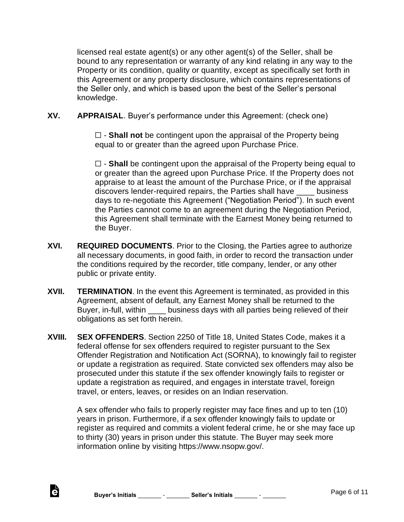licensed real estate agent(s) or any other agent(s) of the Seller, shall be bound to any representation or warranty of any kind relating in any way to the Property or its condition, quality or quantity, except as specifically set forth in this Agreement or any property disclosure, which contains representations of the Seller only, and which is based upon the best of the Seller's personal knowledge.

**XV. APPRAISAL**. Buyer's performance under this Agreement: (check one)

☐ - **Shall not** be contingent upon the appraisal of the Property being equal to or greater than the agreed upon Purchase Price.

☐ - **Shall** be contingent upon the appraisal of the Property being equal to or greater than the agreed upon Purchase Price. If the Property does not appraise to at least the amount of the Purchase Price, or if the appraisal discovers lender-required repairs, the Parties shall have \_\_\_\_ business days to re-negotiate this Agreement ("Negotiation Period"). In such event the Parties cannot come to an agreement during the Negotiation Period, this Agreement shall terminate with the Earnest Money being returned to the Buyer.

- **XVI. REQUIRED DOCUMENTS**. Prior to the Closing, the Parties agree to authorize all necessary documents, in good faith, in order to record the transaction under the conditions required by the recorder, title company, lender, or any other public or private entity.
- **XVII. TERMINATION**. In the event this Agreement is terminated, as provided in this Agreement, absent of default, any Earnest Money shall be returned to the Buyer, in-full, within business days with all parties being relieved of their obligations as set forth herein.
- **XVIII. SEX OFFENDERS**. Section 2250 of Title 18, United States Code, makes it a federal offense for sex offenders required to register pursuant to the Sex Offender Registration and Notification Act (SORNA), to knowingly fail to register or update a registration as required. State convicted sex offenders may also be prosecuted under this statute if the sex offender knowingly fails to register or update a registration as required, and engages in interstate travel, foreign travel, or enters, leaves, or resides on an Indian reservation.

A sex offender who fails to properly register may face fines and up to ten (10) years in prison. Furthermore, if a sex offender knowingly fails to update or register as required and commits a violent federal crime, he or she may face up to thirty (30) years in prison under this statute. The Buyer may seek more information online by visiting https://www.nsopw.gov/.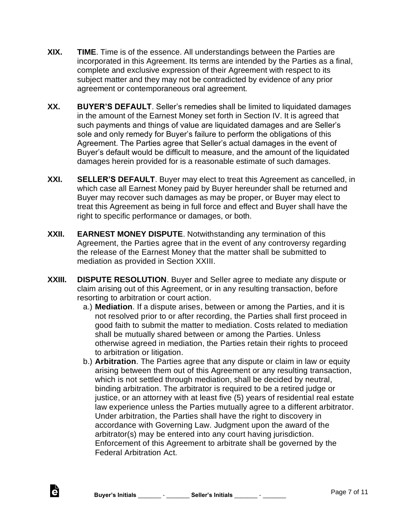- **XIX. TIME**. Time is of the essence. All understandings between the Parties are incorporated in this Agreement. Its terms are intended by the Parties as a final, complete and exclusive expression of their Agreement with respect to its subject matter and they may not be contradicted by evidence of any prior agreement or contemporaneous oral agreement.
- **XX. BUYER'S DEFAULT**. Seller's remedies shall be limited to liquidated damages in the amount of the Earnest Money set forth in Section IV. It is agreed that such payments and things of value are liquidated damages and are Seller's sole and only remedy for Buyer's failure to perform the obligations of this Agreement. The Parties agree that Seller's actual damages in the event of Buyer's default would be difficult to measure, and the amount of the liquidated damages herein provided for is a reasonable estimate of such damages.
- **XXI. SELLER'S DEFAULT**. Buyer may elect to treat this Agreement as cancelled, in which case all Earnest Money paid by Buyer hereunder shall be returned and Buyer may recover such damages as may be proper, or Buyer may elect to treat this Agreement as being in full force and effect and Buyer shall have the right to specific performance or damages, or both.
- **XXII. EARNEST MONEY DISPUTE**. Notwithstanding any termination of this Agreement, the Parties agree that in the event of any controversy regarding the release of the Earnest Money that the matter shall be submitted to mediation as provided in Section XXIII.
- **XXIII. DISPUTE RESOLUTION**. Buyer and Seller agree to mediate any dispute or claim arising out of this Agreement, or in any resulting transaction, before resorting to arbitration or court action.
	- a.) **Mediation**. If a dispute arises, between or among the Parties, and it is not resolved prior to or after recording, the Parties shall first proceed in good faith to submit the matter to mediation. Costs related to mediation shall be mutually shared between or among the Parties. Unless otherwise agreed in mediation, the Parties retain their rights to proceed to arbitration or litigation.
	- b.) **Arbitration**. The Parties agree that any dispute or claim in law or equity arising between them out of this Agreement or any resulting transaction, which is not settled through mediation, shall be decided by neutral, binding arbitration. The arbitrator is required to be a retired judge or justice, or an attorney with at least five (5) years of residential real estate law experience unless the Parties mutually agree to a different arbitrator. Under arbitration, the Parties shall have the right to discovery in accordance with Governing Law. Judgment upon the award of the arbitrator(s) may be entered into any court having jurisdiction. Enforcement of this Agreement to arbitrate shall be governed by the Federal Arbitration Act.

d.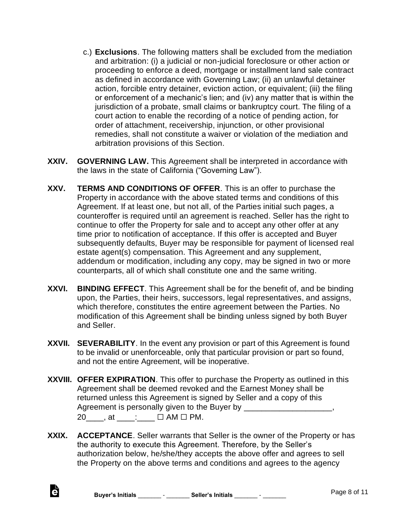- c.) **Exclusions**. The following matters shall be excluded from the mediation and arbitration: (i) a judicial or non-judicial foreclosure or other action or proceeding to enforce a deed, mortgage or installment land sale contract as defined in accordance with Governing Law; (ii) an unlawful detainer action, forcible entry detainer, eviction action, or equivalent; (iii) the filing or enforcement of a mechanic's lien; and (iv) any matter that is within the jurisdiction of a probate, small claims or bankruptcy court. The filing of a court action to enable the recording of a notice of pending action, for order of attachment, receivership, injunction, or other provisional remedies, shall not constitute a waiver or violation of the mediation and arbitration provisions of this Section.
- **XXIV. GOVERNING LAW.** This Agreement shall be interpreted in accordance with the laws in the state of California ("Governing Law").
- **XXV. TERMS AND CONDITIONS OF OFFER**. This is an offer to purchase the Property in accordance with the above stated terms and conditions of this Agreement. If at least one, but not all, of the Parties initial such pages, a counteroffer is required until an agreement is reached. Seller has the right to continue to offer the Property for sale and to accept any other offer at any time prior to notification of acceptance. If this offer is accepted and Buyer subsequently defaults, Buyer may be responsible for payment of licensed real estate agent(s) compensation. This Agreement and any supplement, addendum or modification, including any copy, may be signed in two or more counterparts, all of which shall constitute one and the same writing.
- **XXVI. BINDING EFFECT**. This Agreement shall be for the benefit of, and be binding upon, the Parties, their heirs, successors, legal representatives, and assigns, which therefore, constitutes the entire agreement between the Parties. No modification of this Agreement shall be binding unless signed by both Buyer and Seller.
- **XXVII. SEVERABILITY**. In the event any provision or part of this Agreement is found to be invalid or unenforceable, only that particular provision or part so found, and not the entire Agreement, will be inoperative.
- **XXVIII. OFFER EXPIRATION**. This offer to purchase the Property as outlined in this Agreement shall be deemed revoked and the Earnest Money shall be returned unless this Agreement is signed by Seller and a copy of this Agreement is personally given to the Buyer by \_\_\_\_\_\_\_\_\_\_\_\_\_\_\_\_\_\_\_\_, 20\_\_\_\_\_, at \_\_\_\_\_:\_\_\_ □ AM □ PM.
- **XXIX. ACCEPTANCE**. Seller warrants that Seller is the owner of the Property or has the authority to execute this Agreement. Therefore, by the Seller's authorization below, he/she/they accepts the above offer and agrees to sell the Property on the above terms and conditions and agrees to the agency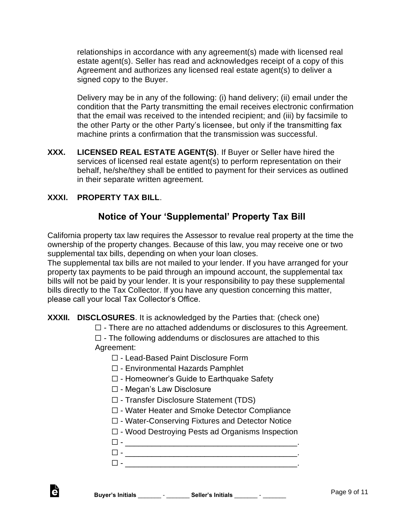relationships in accordance with any agreement(s) made with licensed real estate agent(s). Seller has read and acknowledges receipt of a copy of this Agreement and authorizes any licensed real estate agent(s) to deliver a signed copy to the Buyer.

Delivery may be in any of the following: (i) hand delivery; (ii) email under the condition that the Party transmitting the email receives electronic confirmation that the email was received to the intended recipient; and (iii) by facsimile to the other Party or the other Party's licensee, but only if the transmitting fax machine prints a confirmation that the transmission was successful.

**XXX. LICENSED REAL ESTATE AGENT(S)**. If Buyer or Seller have hired the services of licensed real estate agent(s) to perform representation on their behalf, he/she/they shall be entitled to payment for their services as outlined in their separate written agreement.

### **XXXI. PROPERTY TAX BILL**.

### **Notice of Your 'Supplemental' Property Tax Bill**

California property tax law requires the Assessor to revalue real property at the time the ownership of the property changes. Because of this law, you may receive one or two supplemental tax bills, depending on when your loan closes.

The supplemental tax bills are not mailed to your lender. If you have arranged for your property tax payments to be paid through an impound account, the supplemental tax bills will not be paid by your lender. It is your responsibility to pay these supplemental bills directly to the Tax Collector. If you have any question concerning this matter, please call your local Tax Collector's Office.

#### **XXXII. DISCLOSURES**. It is acknowledged by the Parties that: (check one)

 $\Box$  - There are no attached addendums or disclosures to this Agreement.

 $\Box$  - The following addendums or disclosures are attached to this Agreement:

- ☐ Lead-Based Paint Disclosure Form
- ☐ Environmental Hazards Pamphlet
- ☐ Homeowner's Guide to Earthquake Safety
- ☐ Megan's Law Disclosure
- ☐ Transfer Disclosure Statement (TDS)
- ☐ Water Heater and Smoke Detector Compliance
- ☐ Water-Conserving Fixtures and Detector Notice
- ☐ Wood Destroying Pests ad Organisms Inspection
- ☐ \_\_\_\_\_\_\_\_\_\_\_\_\_\_\_\_\_\_\_\_\_\_\_\_\_\_\_\_\_\_\_\_\_\_\_\_\_\_\_.
- ☐ \_\_\_\_\_\_\_\_\_\_\_\_\_\_\_\_\_\_\_\_\_\_\_\_\_\_\_\_\_\_\_\_\_\_\_\_\_\_\_.
- ☐ \_\_\_\_\_\_\_\_\_\_\_\_\_\_\_\_\_\_\_\_\_\_\_\_\_\_\_\_\_\_\_\_\_\_\_\_\_\_\_.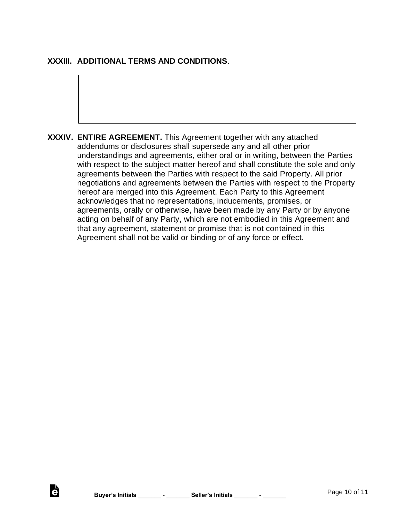### **XXXIII. ADDITIONAL TERMS AND CONDITIONS**.

**XXXIV. ENTIRE AGREEMENT.** This Agreement together with any attached addendums or disclosures shall supersede any and all other prior understandings and agreements, either oral or in writing, between the Parties with respect to the subject matter hereof and shall constitute the sole and only agreements between the Parties with respect to the said Property. All prior negotiations and agreements between the Parties with respect to the Property hereof are merged into this Agreement. Each Party to this Agreement acknowledges that no representations, inducements, promises, or agreements, orally or otherwise, have been made by any Party or by anyone acting on behalf of any Party, which are not embodied in this Agreement and that any agreement, statement or promise that is not contained in this Agreement shall not be valid or binding or of any force or effect.